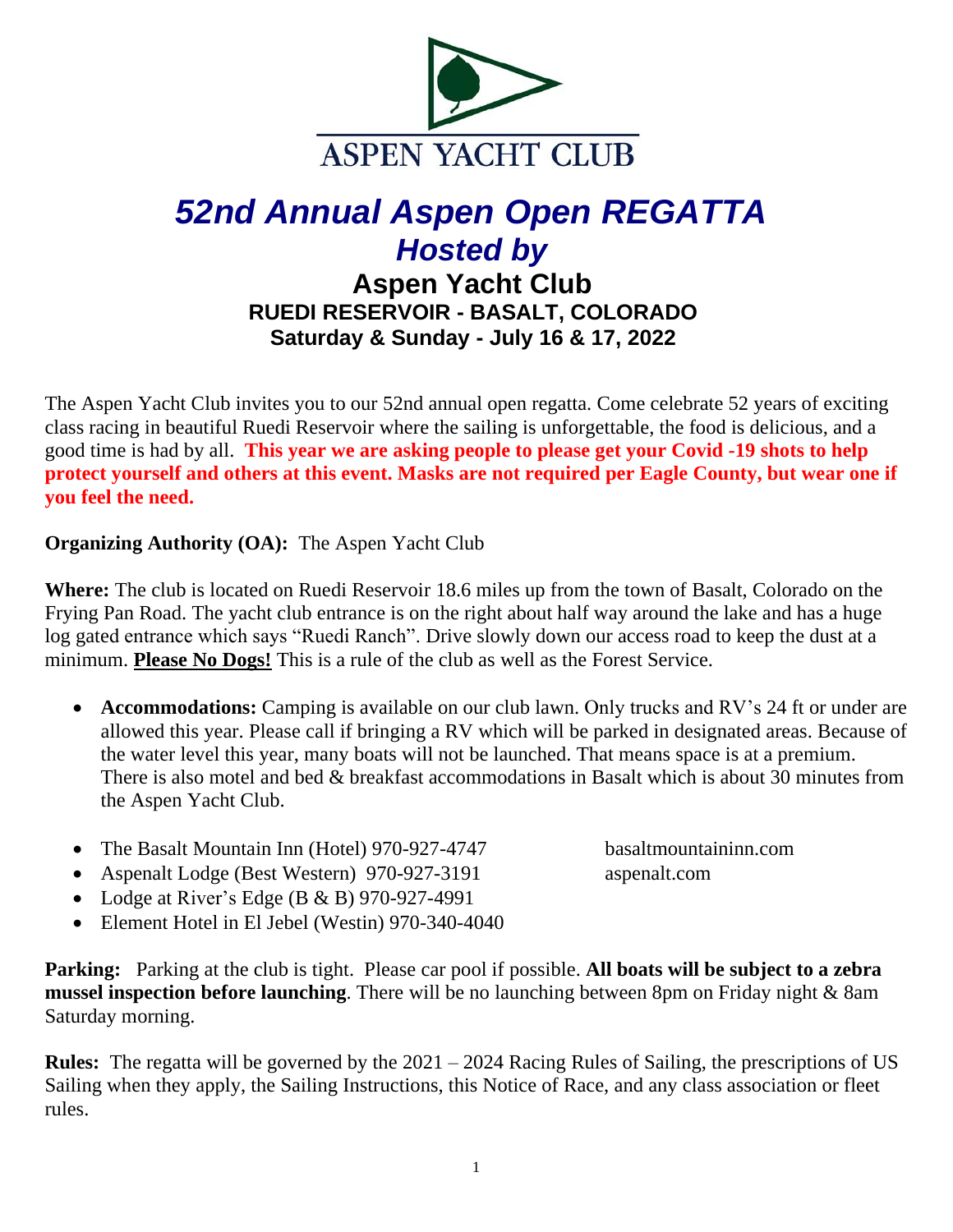

# *52nd Annual Aspen Open REGATTA Hosted by*

**Aspen Yacht Club RUEDI RESERVOIR - BASALT, COLORADO Saturday & Sunday - July 16 & 17, 2022**

The Aspen Yacht Club invites you to our 52nd annual open regatta. Come celebrate 52 years of exciting class racing in beautiful Ruedi Reservoir where the sailing is unforgettable, the food is delicious, and a good time is had by all. **This year we are asking people to please get your Covid -19 shots to help protect yourself and others at this event. Masks are not required per Eagle County, but wear one if you feel the need.**

**Organizing Authority (OA):** The Aspen Yacht Club

**Where:** The club is located on Ruedi Reservoir 18.6 miles up from the town of Basalt, Colorado on the Frying Pan Road. The yacht club entrance is on the right about half way around the lake and has a huge log gated entrance which says "Ruedi Ranch". Drive slowly down our access road to keep the dust at a minimum. **Please No Dogs!** This is a rule of the club as well as the Forest Service.

- **Accommodations:** Camping is available on our club lawn. Only trucks and RV's 24 ft or under are allowed this year. Please call if bringing a RV which will be parked in designated areas. Because of the water level this year, many boats will not be launched. That means space is at a premium. There is also motel and bed & breakfast accommodations in Basalt which is about 30 minutes from the Aspen Yacht Club.
- The Basalt Mountain Inn (Hotel) 970-927-4747 basaltmountaininn.com
- Aspenalt Lodge (Best Western) 970-927-3191 aspenalt.com
- Lodge at River's Edge (B & B) 970-927-4991
- Element Hotel in El Jebel (Westin) 970-340-4040

**Parking:** Parking at the club is tight. Please car pool if possible. **All boats will be subject to a zebra mussel inspection before launching**. There will be no launching between 8pm on Friday night & 8am Saturday morning.

**Rules:** The regatta will be governed by the 2021 – 2024 Racing Rules of Sailing, the prescriptions of US Sailing when they apply, the Sailing Instructions, this Notice of Race, and any class association or fleet rules.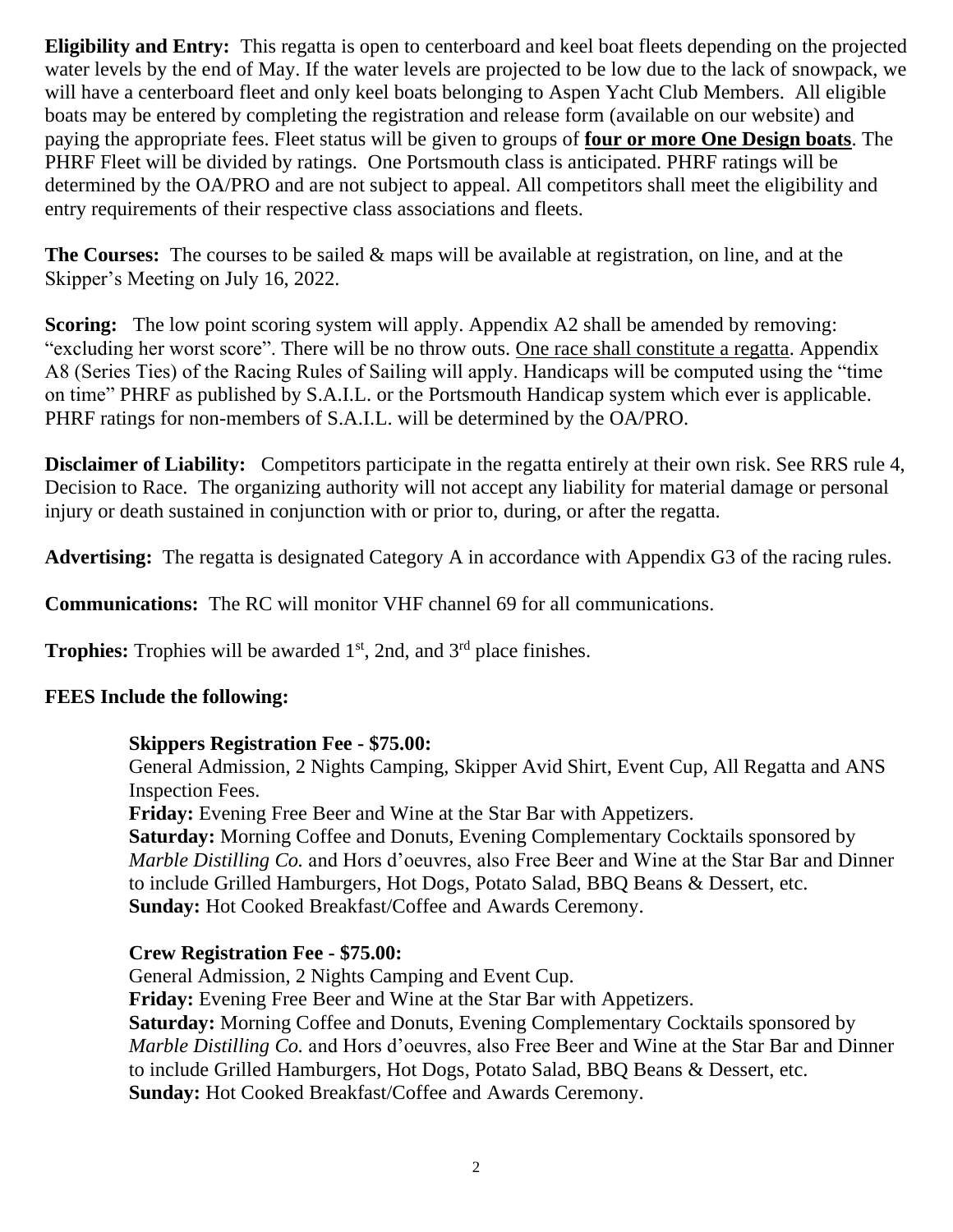**Eligibility and Entry:** This regatta is open to centerboard and keel boat fleets depending on the projected water levels by the end of May. If the water levels are projected to be low due to the lack of snowpack, we will have a centerboard fleet and only keel boats belonging to Aspen Yacht Club Members. All eligible boats may be entered by completing the registration and release form (available on our website) and paying the appropriate fees. Fleet status will be given to groups of **four or more One Design boats**. The PHRF Fleet will be divided by ratings. One Portsmouth class is anticipated. PHRF ratings will be determined by the OA/PRO and are not subject to appeal. All competitors shall meet the eligibility and entry requirements of their respective class associations and fleets.

**The Courses:** The courses to be sailed & maps will be available at registration, on line, and at the Skipper's Meeting on July 16, 2022.

**Scoring:** The low point scoring system will apply. Appendix A2 shall be amended by removing: "excluding her worst score". There will be no throw outs. One race shall constitute a regatta. Appendix A8 (Series Ties) of the Racing Rules of Sailing will apply. Handicaps will be computed using the "time on time" PHRF as published by S.A.I.L. or the Portsmouth Handicap system which ever is applicable. PHRF ratings for non-members of S.A.I.L. will be determined by the OA/PRO.

**Disclaimer of Liability:** Competitors participate in the regatta entirely at their own risk. See RRS rule 4, Decision to Race. The organizing authority will not accept any liability for material damage or personal injury or death sustained in conjunction with or prior to, during, or after the regatta.

**Advertising:** The regatta is designated Category A in accordance with Appendix G3 of the racing rules.

**Communications:** The RC will monitor VHF channel 69 for all communications.

**Trophies:** Trophies will be awarded 1<sup>st</sup>, 2nd, and 3<sup>rd</sup> place finishes.

# **FEES Include the following:**

# **Skippers Registration Fee - \$75.00:**

General Admission, 2 Nights Camping, Skipper Avid Shirt, Event Cup, All Regatta and ANS Inspection Fees.

**Friday:** Evening Free Beer and Wine at the Star Bar with Appetizers.

**Saturday:** Morning Coffee and Donuts, Evening Complementary Cocktails sponsored by *Marble Distilling Co.* and Hors d'oeuvres, also Free Beer and Wine at the Star Bar and Dinner to include Grilled Hamburgers, Hot Dogs, Potato Salad, BBQ Beans & Dessert, etc. **Sunday:** Hot Cooked Breakfast/Coffee and Awards Ceremony.

# **Crew Registration Fee - \$75.00:**

General Admission, 2 Nights Camping and Event Cup.

**Friday:** Evening Free Beer and Wine at the Star Bar with Appetizers. **Saturday:** Morning Coffee and Donuts, Evening Complementary Cocktails sponsored by *Marble Distilling Co.* and Hors d'oeuvres, also Free Beer and Wine at the Star Bar and Dinner to include Grilled Hamburgers, Hot Dogs, Potato Salad, BBQ Beans & Dessert, etc. **Sunday:** Hot Cooked Breakfast/Coffee and Awards Ceremony.